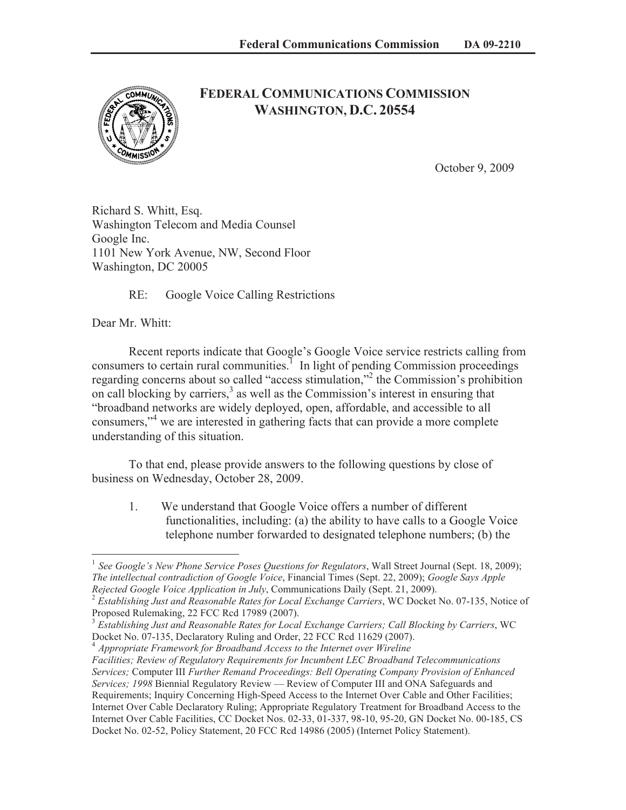

## **FEDERAL COMMUNICATIONS COMMISSION WASHINGTON, D.C. 20554**

October 9, 2009

Richard S. Whitt, Esq. Washington Telecom and Media Counsel Google Inc. 1101 New York Avenue, NW, Second Floor Washington, DC 20005

RE: Google Voice Calling Restrictions

Dear Mr. Whitt:

Recent reports indicate that Google's Google Voice service restricts calling from consumers to certain rural communities.<sup> $1$ </sup> In light of pending Commission proceedings regarding concerns about so called "access stimulation,"<sup>2</sup> the Commission's prohibition on call blocking by carriers, $3$  as well as the Commission's interest in ensuring that "broadband networks are widely deployed, open, affordable, and accessible to all consumers,"<sup>4</sup> we are interested in gathering facts that can provide a more complete understanding of this situation.

To that end, please provide answers to the following questions by close of business on Wednesday, October 28, 2009.

1. We understand that Google Voice offers a number of different functionalities, including: (a) the ability to have calls to a Google Voice telephone number forwarded to designated telephone numbers; (b) the

<sup>4</sup> *Appropriate Framework for Broadband Access to the Internet over Wireline*

<sup>&</sup>lt;sup>1</sup> See Google's New Phone Service Poses Questions for Regulators, Wall Street Journal (Sept. 18, 2009); *The intellectual contradiction of Google Voice*, Financial Times (Sept. 22, 2009); *Google Says Apple Rejected Google Voice Application in July*, Communications Daily (Sept. 21, 2009).

<sup>2</sup> *Establishing Just and Reasonable Rates for Local Exchange Carriers*, WC Docket No. 07-135, Notice of Proposed Rulemaking, 22 FCC Rcd 17989 (2007).

<sup>3</sup> *Establishing Just and Reasonable Rates for Local Exchange Carriers; Call Blocking by Carriers*, WC Docket No. 07-135, Declaratory Ruling and Order, 22 FCC Rcd 11629 (2007).

*Facilities; Review of Regulatory Requirements for Incumbent LEC Broadband Telecommunications Services;* Computer III *Further Remand Proceedings: Bell Operating Company Provision of Enhanced Services; 1998* Biennial Regulatory Review — Review of Computer III and ONA Safeguards and Requirements; Inquiry Concerning High-Speed Access to the Internet Over Cable and Other Facilities; Internet Over Cable Declaratory Ruling; Appropriate Regulatory Treatment for Broadband Access to the Internet Over Cable Facilities, CC Docket Nos. 02-33, 01-337, 98-10, 95-20, GN Docket No. 00-185, CS Docket No. 02-52, Policy Statement, 20 FCC Rcd 14986 (2005) (Internet Policy Statement).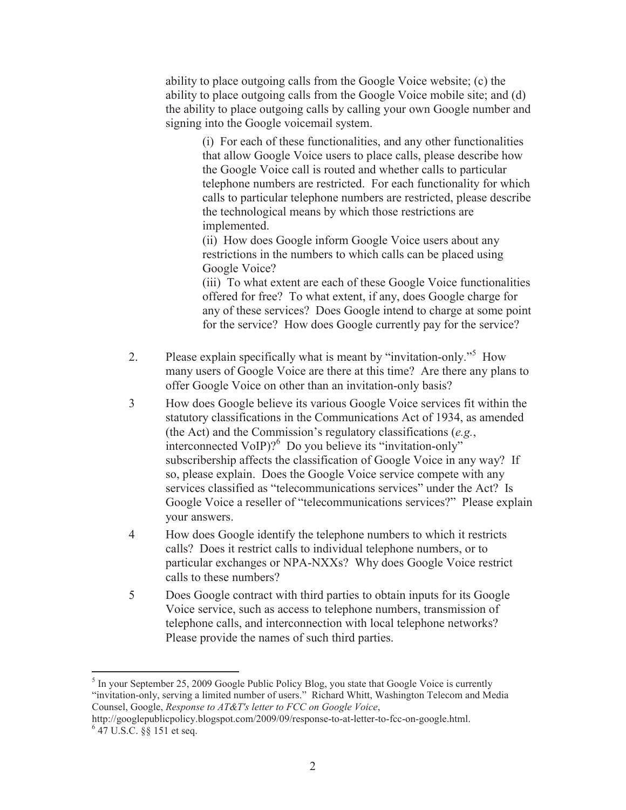ability to place outgoing calls from the Google Voice website; (c) the ability to place outgoing calls from the Google Voice mobile site; and (d) the ability to place outgoing calls by calling your own Google number and signing into the Google voicemail system.

(i) For each of these functionalities, and any other functionalities that allow Google Voice users to place calls, please describe how the Google Voice call is routed and whether calls to particular telephone numbers are restricted. For each functionality for which calls to particular telephone numbers are restricted, please describe the technological means by which those restrictions are implemented.

(ii) How does Google inform Google Voice users about any restrictions in the numbers to which calls can be placed using Google Voice?

(iii) To what extent are each of these Google Voice functionalities offered for free? To what extent, if any, does Google charge for any of these services? Does Google intend to charge at some point for the service? How does Google currently pay for the service?

- 2. Please explain specifically what is meant by "invitation-only."<sup>5</sup> How many users of Google Voice are there at this time? Are there any plans to offer Google Voice on other than an invitation-only basis?
- 3 How does Google believe its various Google Voice services fit within the statutory classifications in the Communications Act of 1934, as amended (the Act) and the Commission's regulatory classifications (*e.g.*, interconnected VoIP)?<sup>6</sup> Do you believe its "invitation-only" subscribership affects the classification of Google Voice in any way? If so, please explain. Does the Google Voice service compete with any services classified as "telecommunications services" under the Act? Is Google Voice a reseller of "telecommunications services?" Please explain your answers.
- 4 How does Google identify the telephone numbers to which it restricts calls? Does it restrict calls to individual telephone numbers, or to particular exchanges or NPA-NXXs? Why does Google Voice restrict calls to these numbers?
- 5 Does Google contract with third parties to obtain inputs for its Google Voice service, such as access to telephone numbers, transmission of telephone calls, and interconnection with local telephone networks? Please provide the names of such third parties.

<sup>&</sup>lt;sup>5</sup> In your September 25, 2009 Google Public Policy Blog, you state that Google Voice is currently "invitation-only, serving a limited number of users." Richard Whitt, Washington Telecom and Media Counsel, Google, *Response to AT&T's letter to FCC on Google Voice*,

http://googlepublicpolicy.blogspot.com/2009/09/response-to-at-letter-to-fcc-on-google.html.  $647$  U.S.C.  $\S$ § 151 et seq.